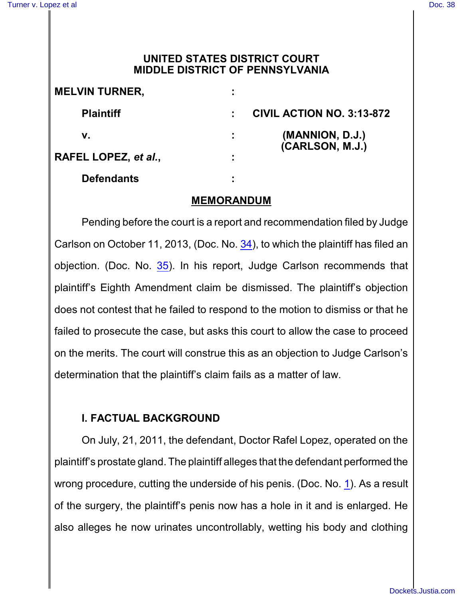# **UNITED STATES DISTRICT COURT MIDDLE DISTRICT OF PENNSYLVANIA**

| <b>MELVIN TURNER,</b> |   |                                    |
|-----------------------|---|------------------------------------|
| <b>Plaintiff</b>      |   | <b>CIVIL ACTION NO. 3:13-872</b>   |
| v.                    |   | (MANNION, D.J.)<br>(CARLSON, M.J.) |
| RAFEL LOPEZ, et al.,  | ٠ |                                    |
| <b>Defendants</b>     |   |                                    |

### **MEMORANDUM**

Pending before the court is a report and recommendation filed by Judge Carlson on October 11, 2013, (Doc. No. [34](http://ecf.pamd.uscourts.gov/doc1/15504385680)), to which the plaintiff has filed an objection. (Doc. No. [35](http://ecf.pamd.uscourts.gov/doc1/15504387593)). In his report, Judge Carlson recommends that plaintiff's Eighth Amendment claim be dismissed. The plaintiff's objection does not contest that he failed to respond to the motion to dismiss or that he failed to prosecute the case, but asks this court to allow the case to proceed on the merits. The court will construe this as an objection to Judge Carlson's determination that the plaintiff's claim fails as a matter of law.

# **I. FACTUAL BACKGROUND**

On July, 21, 2011, the defendant, Doctor Rafel Lopez, operated on the plaintiff's prostate gland. The plaintiff alleges that the defendant performed the wrong procedure, cutting the underside of his penis. (Doc. No. [1](http://ecf.pamd.uscourts.gov/doc1/15504152269)). As a result of the surgery, the plaintiff's penis now has a hole in it and is enlarged. He also alleges he now urinates uncontrollably, wetting his body and clothing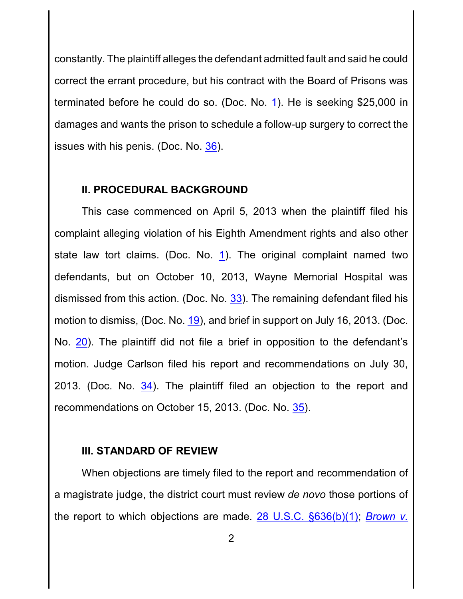constantly. The plaintiff alleges the defendant admitted fault and said he could correct the errant procedure, but his contract with the Board of Prisons was terminated before he could do so. (Doc. No. [1](http://ecf.pamd.uscourts.gov/doc1/15504152269)). He is seeking \$25,000 in damages and wants the prison to schedule a follow-up surgery to correct the issues with his penis. (Doc. No. [36](http://ecf.pamd.uscourts.gov/doc1/15504405457)).

## **II. PROCEDURAL BACKGROUND**

This case commenced on April 5, 2013 when the plaintiff filed his complaint alleging violation of his Eighth Amendment rights and also other state law tort claims. (Doc. No. [1](http://ecf.pamd.uscourts.gov/doc1/15504152269)). The original complaint named two defendants, but on October 10, 2013, Wayne Memorial Hospital was dismissed from this action. (Doc. No. [33](http://ecf.pamd.uscourts.gov/doc1/15504384564)). The remaining defendant filed his motion to dismiss, (Doc. No. [19](http://ecf.pamd.uscourts.gov/doc1/15504280431)), and brief in support on July 16, 2013. (Doc. No. [20](http://ecf.pamd.uscourts.gov/doc1/15504280451)). The plaintiff did not file a brief in opposition to the defendant's motion. Judge Carlson filed his report and recommendations on July 30, 2013. (Doc. No. [34](http://ecf.pamd.uscourts.gov/doc1/15504385680)). The plaintiff filed an objection to the report and recommendations on October 15, 2013. (Doc. No. [35](http://ecf.pamd.uscourts.gov/doc1/15504387593)).

### **III. STANDARD OF REVIEW**

When objections are timely filed to the report and recommendation of a magistrate judge, the district court must review *de novo* those portions of the report to which objections are made. [28 U.S.C. §636\(b\)\(1\)](http://westlaw.com/find/default.wl?ft=L&docname=28USCAS636&rs=btil2.0&rp=%2ffind%2fdefault.wl&fn=_top&findtype=L&vr=2.0&db=1000546&wbtoolsId=28USCAS636&HistoryType=F); *[Brown](http://westlaw.com/find/default.wl?ft=Y&referencepositiontype=S&rs=btil2.0&rp=%2ffind%2fdefault.wl&serialnum=2025614680&fn=_top&referenceposition=195&findtype=Y&vr=2.0&db=0000506&wbtoolsId=2025614680&HistoryType=F) v.*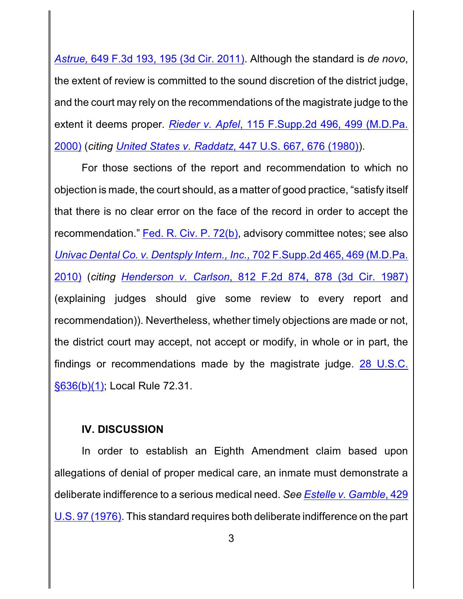*Astrue,* 649 F.3d 193, 195 (3d Cir. 2011). Although the standard is *de novo*, the extent of review is committed to the sound discretion of the district judge, and the court may rely on the recommendations of the magistrate judge to the extent it deems proper*. Rieder v. Apfel*[, 115 F.Supp.2d 496,](http://westlaw.com/find/default.wl?ft=Y&referencepositiontype=S&rs=btil2.0&rp=%2ffind%2fdefault.wl&serialnum=2000561939&fn=_top&referenceposition=499&findtype=Y&vr=2.0&db=0004637&wbtoolsId=2000561939&HistoryType=F) 499 (M.D.Pa. [2000\)](http://westlaw.com/find/default.wl?ft=Y&referencepositiontype=S&rs=btil2.0&rp=%2ffind%2fdefault.wl&serialnum=2000561939&fn=_top&referenceposition=499&findtype=Y&vr=2.0&db=0004637&wbtoolsId=2000561939&HistoryType=F) (*citing United States v. Raddatz*[, 447 U.S. 667, 676 \(1980\)](http://westlaw.com/find/default.wl?ft=Y&referencepositiontype=S&rs=btil2.0&rp=%2ffind%2fdefault.wl&serialnum=1980116789&fn=_top&referenceposition=676&findtype=Y&vr=2.0&db=0000780&wbtoolsId=1980116789&HistoryType=F)).

For those sections of the report and recommendation to which no objection is made, the court should, as a matter of good practice, "satisfy itself that there is no clear error on the face of the record in order to accept the recommendation." Fed. [R. Civ. P.](http://westlaw.com/find/default.wl?ft=L&docname=USFRCPR72&rs=btil2.0&rp=%2ffind%2fdefault.wl&fn=_top&findtype=L&vr=2.0&db=1000600&wbtoolsId=USFRCPR72&HistoryType=F) 72(b), advisory committee notes; see also *Univac Dental Co. v. Dentsply Intern., Inc.,* [702 F.Supp.2d 465,](http://westlaw.com/find/default.wl?ft=Y&referencepositiontype=S&rs=btil2.0&rp=%2ffind%2fdefault.wl&serialnum=2021676896&fn=_top&referenceposition=469&findtype=Y&vr=2.0&db=0004637&wbtoolsId=2021676896&HistoryType=F) 469 (M.D.Pa. [2010\)](http://westlaw.com/find/default.wl?ft=Y&referencepositiontype=S&rs=btil2.0&rp=%2ffind%2fdefault.wl&serialnum=2021676896&fn=_top&referenceposition=469&findtype=Y&vr=2.0&db=0004637&wbtoolsId=2021676896&HistoryType=F) (*citing [Henderson v.](http://westlaw.com/find/default.wl?ft=Y&referencepositiontype=S&rs=btil2.0&rp=%2ffind%2fdefault.wl&serialnum=1987025807&fn=_top&referenceposition=878&findtype=Y&vr=2.0&db=0000350&wbtoolsId=1987025807&HistoryType=F) Carlson*, 812 F.2d 874, 878 (3d Cir. 1987) (explaining judges should give some review to every report and recommendation)). Nevertheless, whether timely objections are made or not, the district court may accept, not accept or modify, in whole or in part, the findings or recommendations made by the magistrate judge. [28 U.S.C.](http://westlaw.com/find/default.wl?ft=L&docname=28USCAS636&rs=btil2.0&rp=%2ffind%2fdefault.wl&fn=_top&findtype=L&vr=2.0&db=1000546&wbtoolsId=28USCAS636&HistoryType=F) [§636\(b\)\(1\)](http://westlaw.com/find/default.wl?ft=L&docname=28USCAS636&rs=btil2.0&rp=%2ffind%2fdefault.wl&fn=_top&findtype=L&vr=2.0&db=1000546&wbtoolsId=28USCAS636&HistoryType=F); Local Rule 72.31.

# **IV. DISCUSSION**

In order to establish an Eighth Amendment claim based upon allegations of denial of proper medical care, an inmate must demonstrate a deliberate indifference to a serious medical need. *See [Estelle v.](http://westlaw.com/find/default.wl?ft=Y&db=0000780&rs=btil2.0&rp=%2ffind%2fdefault.wl&serialnum=1976141341&fn=_top&findtype=Y&vr=2.0&wbtoolsId=1976141341&HistoryType=F) Gamble*, 429 U.S. [97 \(1976\)](http://westlaw.com/find/default.wl?ft=Y&db=0000780&rs=btil2.0&rp=%2ffind%2fdefault.wl&serialnum=1976141341&fn=_top&findtype=Y&vr=2.0&wbtoolsId=1976141341&HistoryType=F). This standard requires both deliberate indifference on the part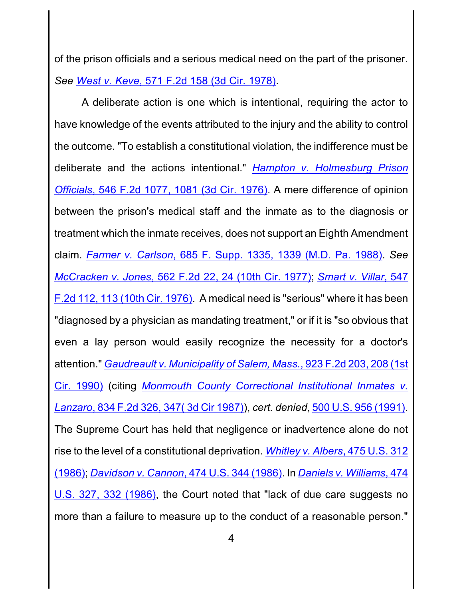of the prison officials and a serious medical need on the part of the prisoner. *See West v. Keve*[, 571 F.2d 158 \(3d Cir. 1978\)](http://westlaw.com/find/default.wl?ft=Y&db=0000350&rs=btil2.0&rp=%2ffind%2fdefault.wl&serialnum=1978102740&fn=_top&findtype=Y&vr=2.0&wbtoolsId=1978102740&HistoryType=F).

A deliberate action is one which is intentional, requiring the actor to have knowledge of the events attributed to the injury and the ability to control the outcome. "To establish a constitutional violation, the indifference must be deliberate and the actions intentional." *Hampton v. [Holmesburg](http://westlaw.com/find/default.wl?ft=Y&referencepositiontype=S&rs=btil2.0&rp=%2ffind%2fdefault.wl&serialnum=1977195742&fn=_top&referenceposition=1081&findtype=Y&vr=2.0&db=0000350&wbtoolsId=1977195742&HistoryType=F) Prison Officials*, 546 F.2d [1077, 1081](http://westlaw.com/find/default.wl?ft=Y&referencepositiontype=S&rs=btil2.0&rp=%2ffind%2fdefault.wl&serialnum=1977195742&fn=_top&referenceposition=1081&findtype=Y&vr=2.0&db=0000350&wbtoolsId=1977195742&HistoryType=F) (3d Cir. 1976). A mere difference of opinion between the prison's medical staff and the inmate as to the diagnosis or treatment which the inmate receives, does not support an Eighth Amendment claim. *Farmer v. Carlson*[, 685 F. Supp. 1335, 1339](http://westlaw.com/find/default.wl?ft=Y&referencepositiontype=S&rs=btil2.0&rp=%2ffind%2fdefault.wl&serialnum=1988069748&fn=_top&referenceposition=1339&findtype=Y&vr=2.0&db=0000345&wbtoolsId=1988069748&HistoryType=F) (M.D. Pa. 1988). *See McCracken v. Jones*, 562 F.2d [22, 24 \(10th Cir.](http://westlaw.com/find/default.wl?ft=Y&referencepositiontype=S&rs=btil2.0&rp=%2ffind%2fdefault.wl&serialnum=1977123710&fn=_top&referenceposition=24&findtype=Y&vr=2.0&db=0000350&wbtoolsId=1977123710&HistoryType=F) 1977); *[Smart](http://westlaw.com/find/default.wl?ft=Y&referencepositiontype=S&rs=btil2.0&rp=%2ffind%2fdefault.wl&serialnum=1977195797&fn=_top&referenceposition=113&findtype=Y&vr=2.0&db=0000350&wbtoolsId=1977195797&HistoryType=F) v. Villar*, 547 F.2d 112, [113 \(10th Cir.](http://westlaw.com/find/default.wl?ft=Y&referencepositiontype=S&rs=btil2.0&rp=%2ffind%2fdefault.wl&serialnum=1977195797&fn=_top&referenceposition=113&findtype=Y&vr=2.0&db=0000350&wbtoolsId=1977195797&HistoryType=F) 1976). A medical need is "serious" where it has been "diagnosed by a physician as mandating treatment," or if it is "so obvious that even a lay person would easily recognize the necessity for a doctor's attention." *Gaudreault v. Municipality of [Salem, Mass.](http://westlaw.com/find/default.wl?ft=Y&referencepositiontype=S&rs=btil2.0&rp=%2ffind%2fdefault.wl&serialnum=1991021105&fn=_top&referenceposition=208&findtype=Y&vr=2.0&db=0000350&wbtoolsId=1991021105&HistoryType=F)*, 923 F.2d 203, 208 (1st Cir. [1990\)](http://westlaw.com/find/default.wl?ft=Y&referencepositiontype=S&rs=btil2.0&rp=%2ffind%2fdefault.wl&serialnum=1991021105&fn=_top&referenceposition=208&findtype=Y&vr=2.0&db=0000350&wbtoolsId=1991021105&HistoryType=F) (citing *Monmouth [County Correctional Institutional Inmates v.](http://westlaw.com/find/default.wl?ft=Y&referencepositiontype=S&rs=btil2.0&rp=%2ffind%2fdefault.wl&serialnum=1987145887&fn=_top&referenceposition=347&findtype=Y&vr=2.0&db=0000350&wbtoolsId=1987145887&HistoryType=F) Lanzaro*, 834 F.2d 326, 347( [3d Cir 1987\)](http://westlaw.com/find/default.wl?ft=Y&referencepositiontype=S&rs=btil2.0&rp=%2ffind%2fdefault.wl&serialnum=1987145887&fn=_top&referenceposition=347&findtype=Y&vr=2.0&db=0000350&wbtoolsId=1987145887&HistoryType=F)), *cert. denied*, 500 U.S. [956 \(1991\)](http://westlaw.com/find/default.wl?ft=L&docname=500US956&rs=btil2.0&rp=%2ffind%2fdefault.wl&fn=_top&findtype=L&vr=2.0&db=0000780&wbtoolsId=500US956&HistoryType=F). The Supreme Court has held that negligence or inadvertence alone do not rise to the level of a constitutional deprivation. *Whitley v. Albers*[, 475 U.S.](http://westlaw.com/find/default.wl?ft=Y&db=0000780&rs=btil2.0&rp=%2ffind%2fdefault.wl&serialnum=1986111255&fn=_top&findtype=Y&vr=2.0&wbtoolsId=1986111255&HistoryType=F) 312 [\(1986\)](http://westlaw.com/find/default.wl?ft=Y&db=0000780&rs=btil2.0&rp=%2ffind%2fdefault.wl&serialnum=1986111255&fn=_top&findtype=Y&vr=2.0&wbtoolsId=1986111255&HistoryType=F); *[Davidson v.](http://westlaw.com/find/default.wl?ft=Y&db=0000780&rs=btil2.0&rp=%2ffind%2fdefault.wl&serialnum=1986103501&fn=_top&findtype=Y&vr=2.0&wbtoolsId=1986103501&HistoryType=F) Cannon*, 474 U.S. 344 (1986). In *[Daniels v.](http://westlaw.com/find/default.wl?referencepositiontype=S&ft=L&docname=474US327&rs=btil2.0&rp=%2ffind%2fdefault.wl&fn=_top&referenceposition=332&findtype=L&vr=2.0&db=0000780&wbtoolsId=474US327&HistoryType=F) Williams*, 474 U.S. 327, [332 \(1986\)](http://westlaw.com/find/default.wl?referencepositiontype=S&ft=L&docname=474US327&rs=btil2.0&rp=%2ffind%2fdefault.wl&fn=_top&referenceposition=332&findtype=L&vr=2.0&db=0000780&wbtoolsId=474US327&HistoryType=F), the Court noted that "lack of due care suggests no more than a failure to measure up to the conduct of a reasonable person."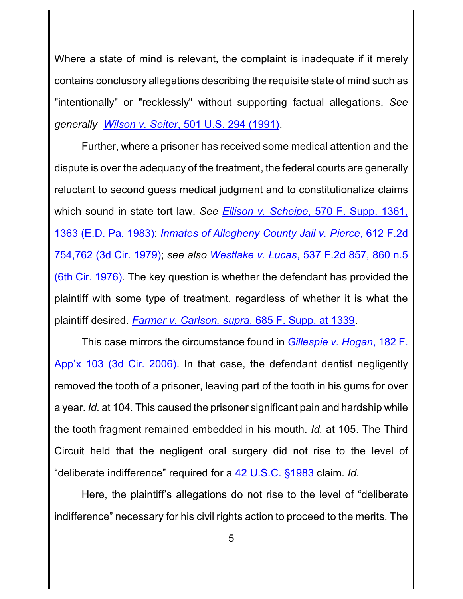Where a state of mind is relevant, the complaint is inadequate if it merely contains conclusory allegations describing the requisite state of mind such as "intentionally" or "recklessly" without supporting factual allegations. *See generally Wilson v. Seiter*[, 501 U.S. 294 \(1991\)](http://westlaw.com/find/default.wl?ft=Y&db=0000780&rs=btil2.0&rp=%2ffind%2fdefault.wl&serialnum=1991109026&fn=_top&findtype=Y&vr=2.0&wbtoolsId=1991109026&HistoryType=F).

Further, where a prisoner has received some medical attention and the dispute is over the adequacy of the treatment, the federal courts are generally reluctant to second guess medical judgment and to constitutionalize claims which sound in state tort law. *See Ellison v. Scheipe*[, 570 F. Supp. 1361,](http://westlaw.com/find/default.wl?ft=Y&referencepositiontype=S&rs=btil2.0&rp=%2ffind%2fdefault.wl&serialnum=1983143325&fn=_top&referenceposition=1363&findtype=Y&vr=2.0&db=0000345&wbtoolsId=1983143325&HistoryType=F) 1363 [\(E.D. Pa. 1983\)](http://westlaw.com/find/default.wl?ft=Y&referencepositiontype=S&rs=btil2.0&rp=%2ffind%2fdefault.wl&serialnum=1983143325&fn=_top&referenceposition=1363&findtype=Y&vr=2.0&db=0000345&wbtoolsId=1983143325&HistoryType=F); *[Inmates of Allegheny](http://westlaw.com/find/default.wl?ft=Y&referencepositiontype=S&rs=btil2.0&rp=%2ffind%2fdefault.wl&serialnum=1980192739&fn=_top&referenceposition=762&findtype=Y&vr=2.0&db=0000350&wbtoolsId=1980192739&HistoryType=F) County Jail v. Pierce*, 612 F.2d [754,762 \(3d Cir.](http://westlaw.com/find/default.wl?ft=Y&referencepositiontype=S&rs=btil2.0&rp=%2ffind%2fdefault.wl&serialnum=1980192739&fn=_top&referenceposition=762&findtype=Y&vr=2.0&db=0000350&wbtoolsId=1980192739&HistoryType=F) 1979); *see also Westlake v. Lucas*, 537 [F.2d 857,](http://westlaw.com/find/default.wl?ft=Y&referencepositiontype=S&rs=btil2.0&rp=%2ffind%2fdefault.wl&serialnum=1976123736&fn=_top&referenceposition=860&findtype=Y&vr=2.0&db=0000350&wbtoolsId=1976123736&HistoryType=F) 860 n.5 [\(6th Cir.](http://westlaw.com/find/default.wl?ft=Y&referencepositiontype=S&rs=btil2.0&rp=%2ffind%2fdefault.wl&serialnum=1976123736&fn=_top&referenceposition=860&findtype=Y&vr=2.0&db=0000350&wbtoolsId=1976123736&HistoryType=F) 1976). The key question is whether the defendant has provided the plaintiff with some type of treatment, regardless of whether it is what the plaintiff desired. *[Farmer v. Carlson, supra](http://westlaw.com/find/default.wl?ft=Y&referencepositiontype=S&rs=btil2.0&rp=%2ffind%2fdefault.wl&serialnum=1988069748&fn=_top&referenceposition=1339&findtype=Y&vr=2.0&db=0000345&wbtoolsId=1988069748&HistoryType=F)*, 685 F. Supp. at 1339.

This case mirrors the circumstance found in *[Gillespie v.](http://westlaw.com/find/default.wl?ft=Y&db=0006538&rs=btil2.0&rp=%2ffind%2fdefault.wl&serialnum=2009287822&fn=_top&findtype=Y&vr=2.0&wbtoolsId=2009287822&HistoryType=F) Hogan*, 182 F. [App'x 103 \(3d Cir.](http://westlaw.com/find/default.wl?ft=Y&db=0006538&rs=btil2.0&rp=%2ffind%2fdefault.wl&serialnum=2009287822&fn=_top&findtype=Y&vr=2.0&wbtoolsId=2009287822&HistoryType=F) 2006). In that case, the defendant dentist negligently removed the tooth of a prisoner, leaving part of the tooth in his gums for over a year. *Id.* at 104. This caused the prisoner significant pain and hardship while the tooth fragment remained embedded in his mouth. *Id.* at 105. The Third Circuit held that the negligent oral surgery did not rise to the level of "deliberate indifference" required for a [42 U.S.C. §1983](http://westlaw.com/find/default.wl?cite=U.S.C.+%c2%a71983&ft=Y&db=1000546&rs=btil2.0&rp=%2ffind%2fdefault.wl&fn=_top&findtype=Y&vr=2.0&HistoryType=F) claim. *Id.*

Here, the plaintiff's allegations do not rise to the level of "deliberate indifference" necessary for his civil rights action to proceed to the merits. The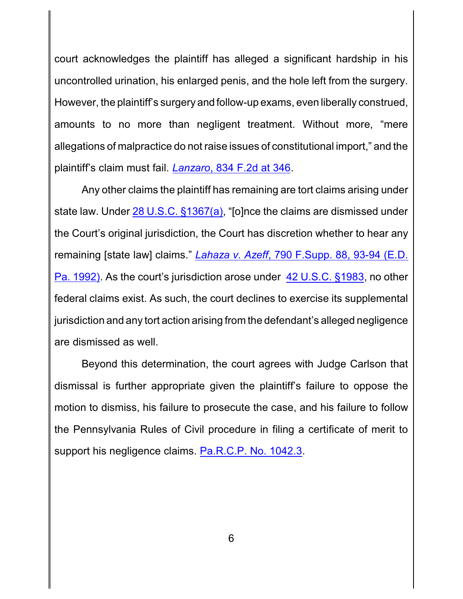court acknowledges the plaintiff has alleged a significant hardship in his uncontrolled urination, his enlarged penis, and the hole left from the surgery. However, the plaintiff's surgery and follow-up exams, even liberally construed, amounts to no more than negligent treatment. Without more, "mere allegations of malpractice do not raise issues of constitutional import," and the plaintiff's claim must fail. *Lanzaro*[, 834 F.2d at 346](http://westlaw.com/find/default.wl?ft=Y&referencepositiontype=S&rs=btil2.0&rp=%2ffind%2fdefault.wl&serialnum=1987145887&fn=_top&referenceposition=347&findtype=Y&vr=2.0&db=0000350&wbtoolsId=1987145887&HistoryType=F).

Any other claims the plaintiff has remaining are tort claims arising under state law. Under [28 U.S.C. §1367\(a\)](http://westlaw.com/find/default.wl?cite=U.S.C.+%c2%a71367(a)&ft=Y&db=1000546&rs=btil2.0&rp=%2ffind%2fdefault.wl&fn=_top&findtype=Y&vr=2.0&HistoryType=F), "[o]nce the claims are dismissed under the Court's original jurisdiction, the Court has discretion whether to hear any remaining [state law] claims." *Lahaza v. Azeff*[, 790 F.Supp.](http://westlaw.com/find/default.wl?ft=Y&referencepositiontype=S&rs=btil2.0&rp=%2ffind%2fdefault.wl&serialnum=1992079647&fn=_top&referenceposition=93&findtype=Y&vr=2.0&db=0000345&wbtoolsId=1992079647&HistoryType=F) 88, 93-94 (E.D. Pa. [1992\)](http://westlaw.com/find/default.wl?ft=Y&referencepositiontype=S&rs=btil2.0&rp=%2ffind%2fdefault.wl&serialnum=1992079647&fn=_top&referenceposition=93&findtype=Y&vr=2.0&db=0000345&wbtoolsId=1992079647&HistoryType=F). As the court's jurisdiction arose under [42 U.S.C. §1983](http://westlaw.com/find/default.wl?ft=L&docname=42USCAS1983&rs=btil2.0&rp=%2ffind%2fdefault.wl&fn=_top&findtype=L&vr=2.0&db=1000546&wbtoolsId=42USCAS1983&HistoryType=F), no other federal claims exist. As such, the court declines to exercise its supplemental jurisdiction and any tort action arising from the defendant's alleged negligence are dismissed as well.

Beyond this determination, the court agrees with Judge Carlson that dismissal is further appropriate given the plaintiff's failure to oppose the motion to dismiss, his failure to prosecute the case, and his failure to follow the Pennsylvania Rules of Civil procedure in filing a certificate of merit to support his negligence claims. [Pa.R.C.P. No. 1042.3](http://westlaw.com/find/default.wl?ft=L&docname=PASTRCPR1042.3&rs=btil2.0&rp=%2ffind%2fdefault.wl&fn=_top&findtype=L&vr=2.0&db=1000781&wbtoolsId=PASTRCPR1042.3&HistoryType=F).